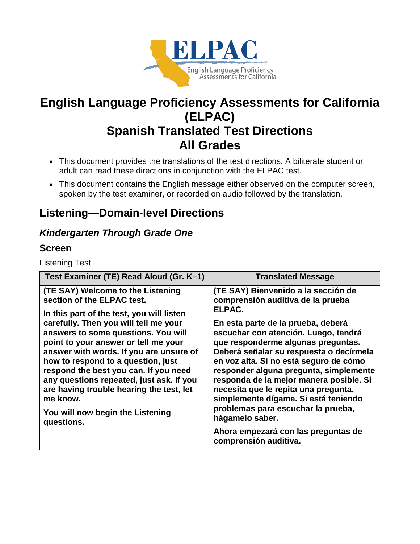

# **English Language Proficiency Assessments for California (ELPAC) Spanish Translated Test Directions All Grades**

- This document provides the translations of the test directions. A biliterate student or adult can read these directions in conjunction with the ELPAC test.
- This document contains the English message either observed on the computer screen, spoken by the test examiner, or recorded on audio followed by the translation.

# **Listening—Domain-level Directions**

### *Kindergarten Through Grade One*

#### **Screen**

Listening Test

| Test Examiner (TE) Read Aloud (Gr. K-1)                                                                                                                                                                                                                                                                                                                                                                                                                                                                              | <b>Translated Message</b>                                                                                                                                                                                                                                                                                                                                                                                                                                                                                                                                                                 |
|----------------------------------------------------------------------------------------------------------------------------------------------------------------------------------------------------------------------------------------------------------------------------------------------------------------------------------------------------------------------------------------------------------------------------------------------------------------------------------------------------------------------|-------------------------------------------------------------------------------------------------------------------------------------------------------------------------------------------------------------------------------------------------------------------------------------------------------------------------------------------------------------------------------------------------------------------------------------------------------------------------------------------------------------------------------------------------------------------------------------------|
| (TE SAY) Welcome to the Listening<br>section of the ELPAC test.<br>In this part of the test, you will listen<br>carefully. Then you will tell me your<br>answers to some questions. You will<br>point to your answer or tell me your<br>answer with words. If you are unsure of<br>how to respond to a question, just<br>respond the best you can. If you need<br>any questions repeated, just ask. If you<br>are having trouble hearing the test, let<br>me know.<br>You will now begin the Listening<br>questions. | (TE SAY) Bienvenido a la sección de<br>comprensión auditiva de la prueba<br>ELPAC.<br>En esta parte de la prueba, deberá<br>escuchar con atención. Luego, tendrá<br>que responderme algunas preguntas.<br>Deberá señalar su respuesta o decírmela<br>en voz alta. Si no está seguro de cómo<br>responder alguna pregunta, simplemente<br>responda de la mejor manera posible. Si<br>necesita que le repita una pregunta,<br>simplemente dígame. Si está teniendo<br>problemas para escuchar la prueba,<br>hágamelo saber.<br>Ahora empezará con las preguntas de<br>comprensión auditiva. |
|                                                                                                                                                                                                                                                                                                                                                                                                                                                                                                                      |                                                                                                                                                                                                                                                                                                                                                                                                                                                                                                                                                                                           |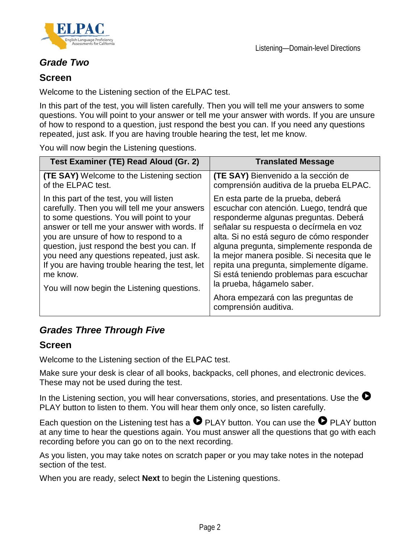



#### *Grade Two*

#### **Screen**

Welcome to the Listening section of the ELPAC test.

In this part of the test, you will listen carefully. Then you will tell me your answers to some questions. You will point to your answer or tell me your answer with words. If you are unsure of how to respond to a question, just respond the best you can. If you need any questions repeated, just ask. If you are having trouble hearing the test, let me know.

You will now begin the Listening questions.

| Test Examiner (TE) Read Aloud (Gr. 2)                                                                                                                                                                                                                                                                                                                                                                                                       | <b>Translated Message</b>                                                                                                                                                                                                                                                                                                                                                                                                                                                                        |
|---------------------------------------------------------------------------------------------------------------------------------------------------------------------------------------------------------------------------------------------------------------------------------------------------------------------------------------------------------------------------------------------------------------------------------------------|--------------------------------------------------------------------------------------------------------------------------------------------------------------------------------------------------------------------------------------------------------------------------------------------------------------------------------------------------------------------------------------------------------------------------------------------------------------------------------------------------|
| <b>(TE SAY)</b> Welcome to the Listening section<br>of the ELPAC test.                                                                                                                                                                                                                                                                                                                                                                      | (TE SAY) Bienvenido a la sección de<br>comprensión auditiva de la prueba ELPAC.                                                                                                                                                                                                                                                                                                                                                                                                                  |
| In this part of the test, you will listen<br>carefully. Then you will tell me your answers<br>to some questions. You will point to your<br>answer or tell me your answer with words. If<br>you are unsure of how to respond to a<br>question, just respond the best you can. If<br>you need any questions repeated, just ask.<br>If you are having trouble hearing the test, let<br>me know.<br>You will now begin the Listening questions. | En esta parte de la prueba, deberá<br>escuchar con atención. Luego, tendrá que<br>responderme algunas preguntas. Deberá<br>señalar su respuesta o decírmela en voz<br>alta. Si no está seguro de cómo responder<br>alguna pregunta, simplemente responda de<br>la mejor manera posible. Si necesita que le<br>repita una pregunta, simplemente dígame.<br>Si está teniendo problemas para escuchar<br>la prueba, hágamelo saber.<br>Ahora empezará con las preguntas de<br>comprensión auditiva. |

### *Grades Three Through Five*

#### **Screen**

Welcome to the Listening section of the ELPAC test.

Make sure your desk is clear of all books, backpacks, cell phones, and electronic devices. These may not be used during the test.

In the Listening section, you will hear conversations, stories, and presentations. Use the  $\bullet$ PLAY button to listen to them. You will hear them only once, so listen carefully.

Each question on the Listening test has a  $\bullet$  PLAY button. You can use the  $\bullet$  PLAY button at any time to hear the questions again. You must answer all the questions that go with each recording before you can go on to the next recording.

As you listen, you may take notes on scratch paper or you may take notes in the notepad section of the test.

When you are ready, select **Next** to begin the Listening questions.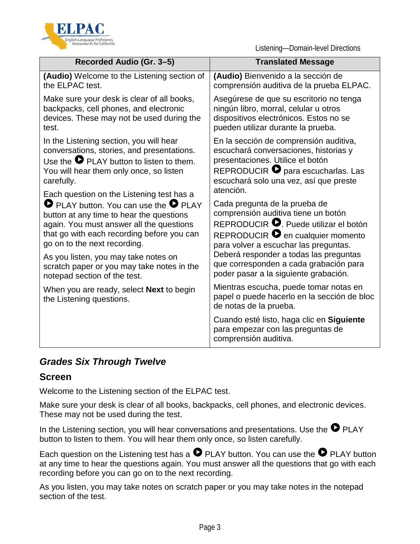

Listening—Domain-level Directions

| Recorded Audio (Gr. 3-5)                                                    | <b>Translated Message</b>                                                                                       |
|-----------------------------------------------------------------------------|-----------------------------------------------------------------------------------------------------------------|
| (Audio) Welcome to the Listening section of                                 | (Audio) Bienvenido a la sección de                                                                              |
| the ELPAC test.                                                             | comprensión auditiva de la prueba ELPAC.                                                                        |
| Make sure your desk is clear of all books,                                  | Asegúrese de que su escritorio no tenga                                                                         |
| backpacks, cell phones, and electronic                                      | ningún libro, morral, celular u otros                                                                           |
| devices. These may not be used during the                                   | dispositivos electrónicos. Estos no se                                                                          |
| test.                                                                       | pueden utilizar durante la prueba.                                                                              |
| In the Listening section, you will hear                                     | En la sección de comprensión auditiva,                                                                          |
| conversations, stories, and presentations.                                  | escuchará conversaciones, historias y                                                                           |
| Use the $\bullet$ PLAY button to listen to them.                            | presentaciones. Utilice el botón                                                                                |
| You will hear them only once, so listen                                     | REPRODUCIR $\bullet$ para escucharlas. Las                                                                      |
| carefully.                                                                  | escuchará solo una vez, así que preste                                                                          |
| Each question on the Listening test has a                                   | atención.                                                                                                       |
| PLAY button. You can use the P PLAY                                         | Cada pregunta de la prueba de                                                                                   |
| button at any time to hear the questions                                    | comprensión auditiva tiene un botón                                                                             |
| again. You must answer all the questions                                    | REPRODUCIR <b>O</b> . Puede utilizar el botón                                                                   |
| that go with each recording before you can                                  | REPRODUCIR <sup>o</sup> en cualquier momento                                                                    |
| go on to the next recording.                                                | para volver a escuchar las preguntas.                                                                           |
| As you listen, you may take notes on                                        | Deberá responder a todas las preguntas                                                                          |
| scratch paper or you may take notes in the                                  | que corresponden a cada grabación para                                                                          |
| notepad section of the test.                                                | poder pasar a la siguiente grabación.                                                                           |
| When you are ready, select <b>Next</b> to begin<br>the Listening questions. | Mientras escucha, puede tomar notas en<br>papel o puede hacerlo en la sección de bloc<br>de notas de la prueba. |
|                                                                             | Cuando esté listo, haga clic en Siguiente<br>para empezar con las preguntas de<br>comprensión auditiva.         |

### *Grades Six Through Twelve*

#### **Screen**

Welcome to the Listening section of the ELPAC test.

Make sure your desk is clear of all books, backpacks, cell phones, and electronic devices. These may not be used during the test.

In the Listening section, you will hear conversations and presentations. Use the  $\bullet$  PLAY button to listen to them. You will hear them only once, so listen carefully.

Each question on the Listening test has a  $\bullet$  PLAY button. You can use the  $\bullet$  PLAY button at any time to hear the questions again. You must answer all the questions that go with each recording before you can go on to the next recording.

As you listen, you may take notes on scratch paper or you may take notes in the notepad section of the test.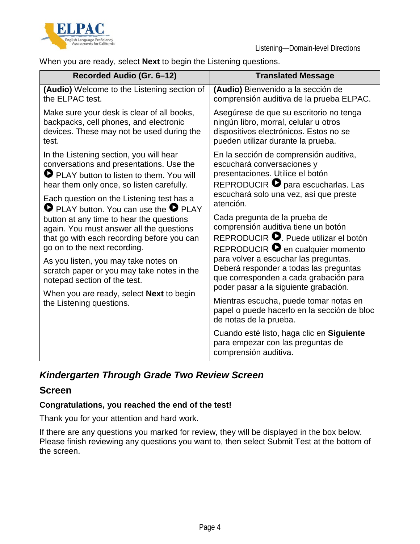



When you are ready, select **Next** to begin the Listening questions.

| Recorded Audio (Gr. 6-12)                                                                                                                                                                                                                         | <b>Translated Message</b>                                                                                                                                                                                      |
|---------------------------------------------------------------------------------------------------------------------------------------------------------------------------------------------------------------------------------------------------|----------------------------------------------------------------------------------------------------------------------------------------------------------------------------------------------------------------|
| (Audio) Welcome to the Listening section of<br>the ELPAC test.                                                                                                                                                                                    | (Audio) Bienvenido a la sección de<br>comprensión auditiva de la prueba ELPAC.                                                                                                                                 |
| Make sure your desk is clear of all books,<br>backpacks, cell phones, and electronic<br>devices. These may not be used during the<br>test.                                                                                                        | Asegúrese de que su escritorio no tenga<br>ningún libro, morral, celular u otros<br>dispositivos electrónicos. Estos no se<br>pueden utilizar durante la prueba.                                               |
| In the Listening section, you will hear<br>conversations and presentations. Use the<br>PLAY button to listen to them. You will<br>hear them only once, so listen carefully.<br>Each question on the Listening test has a                          | En la sección de comprensión auditiva,<br>escuchará conversaciones y<br>presentaciones. Utilice el botón<br>REPRODUCIR <b>O</b> para escucharlas. Las<br>escuchará solo una vez, así que preste<br>atención.   |
| PLAY button. You can use the P PLAY<br>button at any time to hear the questions<br>again. You must answer all the questions<br>that go with each recording before you can<br>go on to the next recording.<br>As you listen, you may take notes on | Cada pregunta de la prueba de<br>comprensión auditiva tiene un botón<br>REPRODUCIR <b>O</b> . Puede utilizar el botón<br>REPRODUCIR <sup>o</sup> en cualquier momento<br>para volver a escuchar las preguntas. |
| scratch paper or you may take notes in the<br>notepad section of the test.                                                                                                                                                                        | Deberá responder a todas las preguntas<br>que corresponden a cada grabación para<br>poder pasar a la siguiente grabación.                                                                                      |
| When you are ready, select <b>Next</b> to begin<br>the Listening questions.                                                                                                                                                                       | Mientras escucha, puede tomar notas en<br>papel o puede hacerlo en la sección de bloc<br>de notas de la prueba.                                                                                                |
|                                                                                                                                                                                                                                                   | Cuando esté listo, haga clic en Siguiente<br>para empezar con las preguntas de<br>comprensión auditiva.                                                                                                        |

### *Kindergarten Through Grade Two Review Screen*

#### **Screen**

#### **Congratulations, you reached the end of the test!**

Thank you for your attention and hard work.

If there are any questions you marked for review, they will be displayed in the box below. Please finish reviewing any questions you want to, then select Submit Test at the bottom of the screen.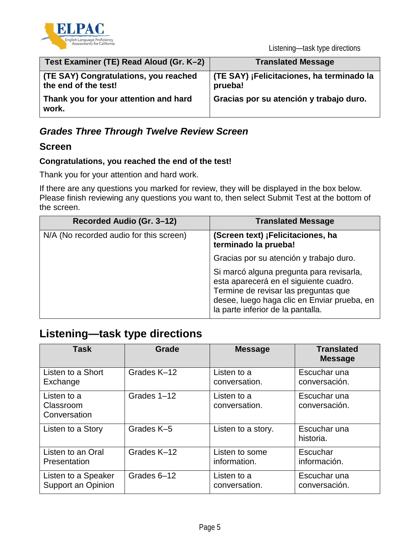

| Test Examiner (TE) Read Aloud (Gr. K-2)                       | <b>Translated Message</b>                            |
|---------------------------------------------------------------|------------------------------------------------------|
| (TE SAY) Congratulations, you reached<br>the end of the test! | (TE SAY) ¡Felicitaciones, ha terminado la<br>prueba! |
| Thank you for your attention and hard<br>work.                | Gracias por su atención y trabajo duro.              |

### *Grades Three Through Twelve Review Screen*

#### **Screen**

#### **Congratulations, you reached the end of the test!**

Thank you for your attention and hard work.

If there are any questions you marked for review, they will be displayed in the box below. Please finish reviewing any questions you want to, then select Submit Test at the bottom of the screen.

| Recorded Audio (Gr. 3-12)               | <b>Translated Message</b>                                                                                                                                                                                      |
|-----------------------------------------|----------------------------------------------------------------------------------------------------------------------------------------------------------------------------------------------------------------|
| N/A (No recorded audio for this screen) | (Screen text) ¡Felicitaciones, ha<br>terminado la prueba!                                                                                                                                                      |
|                                         | Gracias por su atención y trabajo duro.                                                                                                                                                                        |
|                                         | Si marcó alguna pregunta para revisarla,<br>esta aparecerá en el siguiente cuadro.<br>Termine de revisar las preguntas que<br>desee, luego haga clic en Enviar prueba, en<br>la parte inferior de la pantalla. |

# **Listening—task type directions**

| <b>Task</b>                              | Grade       | <b>Message</b>               | <b>Translated</b><br><b>Message</b> |
|------------------------------------------|-------------|------------------------------|-------------------------------------|
| Listen to a Short                        | Grades K-12 | Listen to a                  | Escuchar una                        |
| Exchange                                 |             | conversation.                | conversación.                       |
| Listen to a<br>Classroom<br>Conversation | Grades 1-12 | Listen to a<br>conversation. | Escuchar una<br>conversación.       |
| Listen to a Story                        | Grades K-5  | Listen to a story.           | Escuchar una<br>historia.           |
| Listen to an Oral                        | Grades K-12 | Listen to some               | Escuchar                            |
| Presentation                             |             | information.                 | información.                        |
| Listen to a Speaker                      | Grades 6-12 | Listen to a                  | Escuchar una                        |
| Support an Opinion                       |             | conversation.                | conversación.                       |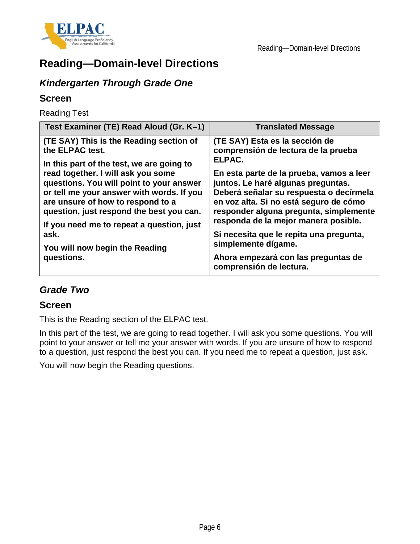



# **Reading—Domain-level Directions**

# *Kindergarten Through Grade One*

#### **Screen**

Reading Test

| Test Examiner (TE) Read Aloud (Gr. K-1)   | <b>Translated Message</b>                                      |
|-------------------------------------------|----------------------------------------------------------------|
| (TE SAY) This is the Reading section of   | (TE SAY) Esta es la sección de                                 |
| the ELPAC test.                           | comprensión de lectura de la prueba                            |
| In this part of the test, we are going to | ELPAC.                                                         |
| read together. I will ask you some        | En esta parte de la prueba, vamos a leer                       |
| questions. You will point to your answer  | juntos. Le haré algunas preguntas.                             |
| or tell me your answer with words. If you | Deberá señalar su respuesta o decírmela                        |
| are unsure of how to respond to a         | en voz alta. Si no está seguro de cómo                         |
| question, just respond the best you can.  | responder alguna pregunta, simplemente                         |
| If you need me to repeat a question, just | responda de la mejor manera posible.                           |
| ask.                                      | Si necesita que le repita una pregunta,                        |
| You will now begin the Reading            | simplemente dígame.                                            |
| questions.                                | Ahora empezará con las preguntas de<br>comprensión de lectura. |

#### *Grade Two*

#### **Screen**

This is the Reading section of the ELPAC test.

In this part of the test, we are going to read together. I will ask you some questions. You will point to your answer or tell me your answer with words. If you are unsure of how to respond to a question, just respond the best you can. If you need me to repeat a question, just ask.

You will now begin the Reading questions.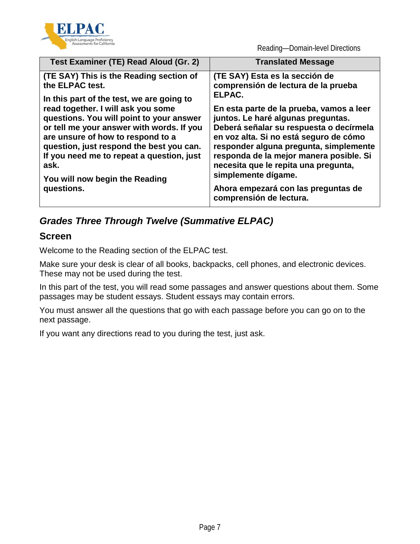

Reading—Domain-level Directions

|                                                                                                                                                                                                                                                                                                                                                                                                                                                                                                                                                                                                                                                                                                                                                                                                                                                                                                              | Test Examiner (TE) Read Aloud (Gr. 2) | <b>Translated Message</b> |
|--------------------------------------------------------------------------------------------------------------------------------------------------------------------------------------------------------------------------------------------------------------------------------------------------------------------------------------------------------------------------------------------------------------------------------------------------------------------------------------------------------------------------------------------------------------------------------------------------------------------------------------------------------------------------------------------------------------------------------------------------------------------------------------------------------------------------------------------------------------------------------------------------------------|---------------------------------------|---------------------------|
| (TE SAY) This is the Reading section of<br>(TE SAY) Esta es la sección de<br>comprensión de lectura de la prueba<br>the ELPAC test.<br>ELPAC.<br>In this part of the test, we are going to<br>read together. I will ask you some<br>En esta parte de la prueba, vamos a leer<br>juntos. Le haré algunas preguntas.<br>questions. You will point to your answer<br>Deberá señalar su respuesta o decírmela<br>or tell me your answer with words. If you<br>en voz alta. Si no está seguro de cómo<br>are unsure of how to respond to a<br>question, just respond the best you can.<br>responder alguna pregunta, simplemente<br>If you need me to repeat a question, just<br>responda de la mejor manera posible. Si<br>necesita que le repita una pregunta,<br>ask.<br>simplemente dígame.<br>You will now begin the Reading<br>Ahora empezará con las preguntas de<br>questions.<br>comprensión de lectura. |                                       |                           |

## *Grades Three Through Twelve (Summative ELPAC)*

#### **Screen**

Welcome to the Reading section of the ELPAC test.

Make sure your desk is clear of all books, backpacks, cell phones, and electronic devices. These may not be used during the test.

In this part of the test, you will read some passages and answer questions about them. Some passages may be student essays. Student essays may contain errors.

You must answer all the questions that go with each passage before you can go on to the next passage.

If you want any directions read to you during the test, just ask.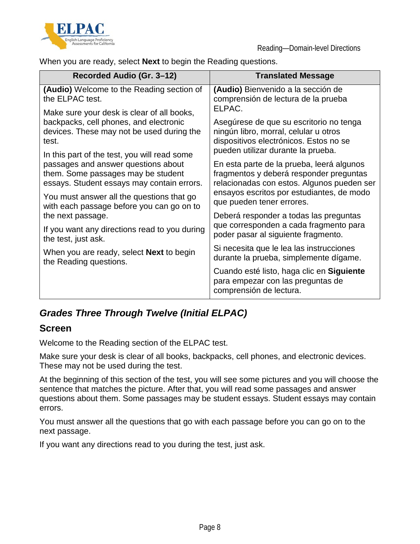



When you are ready, select **Next** to begin the Reading questions.

| Recorded Audio (Gr. 3-12)                                                                                                                                                                                            | <b>Translated Message</b>                                                                                                                                                       |
|----------------------------------------------------------------------------------------------------------------------------------------------------------------------------------------------------------------------|---------------------------------------------------------------------------------------------------------------------------------------------------------------------------------|
| <b>(Audio)</b> Welcome to the Reading section of<br>the ELPAC test.                                                                                                                                                  | (Audio) Bienvenido a la sección de<br>comprensión de lectura de la prueba<br>ELPAC.                                                                                             |
| Make sure your desk is clear of all books,                                                                                                                                                                           | Asegúrese de que su escritorio no tenga                                                                                                                                         |
| backpacks, cell phones, and electronic                                                                                                                                                                               | ningún libro, morral, celular u otros                                                                                                                                           |
| devices. These may not be used during the                                                                                                                                                                            | dispositivos electrónicos. Estos no se                                                                                                                                          |
| test.                                                                                                                                                                                                                | pueden utilizar durante la prueba.                                                                                                                                              |
| In this part of the test, you will read some<br>passages and answer questions about<br>them. Some passages may be student<br>essays. Student essays may contain errors.<br>You must answer all the questions that go | En esta parte de la prueba, leerá algunos<br>fragmentos y deberá responder preguntas<br>relacionadas con estos. Algunos pueden ser<br>ensayos escritos por estudiantes, de modo |
| with each passage before you can go on to                                                                                                                                                                            | que pueden tener errores.                                                                                                                                                       |
| the next passage.                                                                                                                                                                                                    | Deberá responder a todas las preguntas                                                                                                                                          |
| If you want any directions read to you during                                                                                                                                                                        | que corresponden a cada fragmento para                                                                                                                                          |
| the test, just ask.                                                                                                                                                                                                  | poder pasar al siguiente fragmento.                                                                                                                                             |
| When you are ready, select <b>Next</b> to begin                                                                                                                                                                      | Si necesita que le lea las instrucciones                                                                                                                                        |
| the Reading questions.                                                                                                                                                                                               | durante la prueba, simplemente dígame.                                                                                                                                          |
|                                                                                                                                                                                                                      | Cuando esté listo, haga clic en Siguiente<br>para empezar con las preguntas de<br>comprensión de lectura.                                                                       |

### *Grades Three Through Twelve (Initial ELPAC)*

#### **Screen**

Welcome to the Reading section of the ELPAC test.

Make sure your desk is clear of all books, backpacks, cell phones, and electronic devices. These may not be used during the test.

At the beginning of this section of the test, you will see some pictures and you will choose the sentence that matches the picture. After that, you will read some passages and answer questions about them. Some passages may be student essays. Student essays may contain errors.

You must answer all the questions that go with each passage before you can go on to the next passage.

If you want any directions read to you during the test, just ask.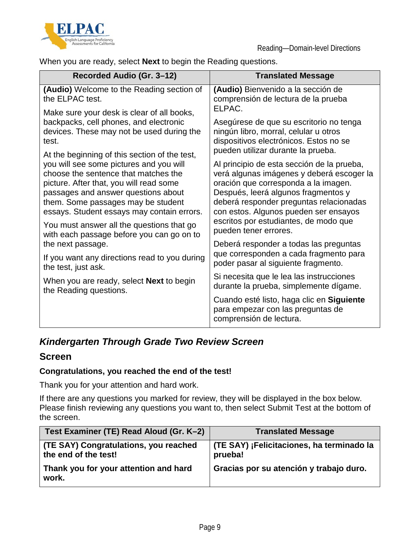



When you are ready, select **Next** to begin the Reading questions.

| Recorded Audio (Gr. 3-12)                                                                                                                                                                                                                                                                              | <b>Translated Message</b>                                                                                                                                                                                                                                  |
|--------------------------------------------------------------------------------------------------------------------------------------------------------------------------------------------------------------------------------------------------------------------------------------------------------|------------------------------------------------------------------------------------------------------------------------------------------------------------------------------------------------------------------------------------------------------------|
| (Audio) Welcome to the Reading section of<br>the ELPAC test.                                                                                                                                                                                                                                           | (Audio) Bienvenido a la sección de<br>comprensión de lectura de la prueba<br>ELPAC.                                                                                                                                                                        |
| Make sure your desk is clear of all books,<br>backpacks, cell phones, and electronic<br>devices. These may not be used during the<br>test.                                                                                                                                                             | Asegúrese de que su escritorio no tenga<br>ningún libro, morral, celular u otros<br>dispositivos electrónicos. Estos no se<br>pueden utilizar durante la prueba.                                                                                           |
| At the beginning of this section of the test,<br>you will see some pictures and you will<br>choose the sentence that matches the<br>picture. After that, you will read some<br>passages and answer questions about<br>them. Some passages may be student<br>essays. Student essays may contain errors. | Al principio de esta sección de la prueba,<br>verá algunas imágenes y deberá escoger la<br>oración que corresponda a la imagen.<br>Después, leerá algunos fragmentos y<br>deberá responder preguntas relacionadas<br>con estos. Algunos pueden ser ensayos |
| You must answer all the questions that go<br>with each passage before you can go on to                                                                                                                                                                                                                 | escritos por estudiantes, de modo que<br>pueden tener errores.<br>Deberá responder a todas las preguntas                                                                                                                                                   |
| the next passage.<br>If you want any directions read to you during<br>the test, just ask.                                                                                                                                                                                                              | que corresponden a cada fragmento para<br>poder pasar al siguiente fragmento.                                                                                                                                                                              |
| When you are ready, select <b>Next</b> to begin<br>the Reading questions.                                                                                                                                                                                                                              | Si necesita que le lea las instrucciones<br>durante la prueba, simplemente dígame.                                                                                                                                                                         |
|                                                                                                                                                                                                                                                                                                        | Cuando esté listo, haga clic en Siguiente<br>para empezar con las preguntas de<br>comprensión de lectura.                                                                                                                                                  |

### *Kindergarten Through Grade Two Review Screen*

#### **Screen**

#### **Congratulations, you reached the end of the test!**

Thank you for your attention and hard work.

If there are any questions you marked for review, they will be displayed in the box below. Please finish reviewing any questions you want to, then select Submit Test at the bottom of the screen.

| Test Examiner (TE) Read Aloud (Gr. K-2)                       | <b>Translated Message</b>                            |
|---------------------------------------------------------------|------------------------------------------------------|
| (TE SAY) Congratulations, you reached<br>the end of the test! | (TE SAY) ¡Felicitaciones, ha terminado la<br>prueba! |
| Thank you for your attention and hard<br>work.                | Gracias por su atención y trabajo duro.              |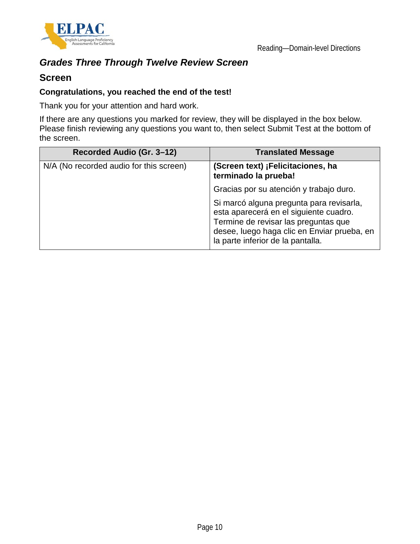

# *Grades Three Through Twelve Review Screen*

#### **Screen**

#### **Congratulations, you reached the end of the test!**

Thank you for your attention and hard work.

If there are any questions you marked for review, they will be displayed in the box below. Please finish reviewing any questions you want to, then select Submit Test at the bottom of the screen.

| Recorded Audio (Gr. 3–12)               | <b>Translated Message</b>                                                                                                                                                                                      |
|-----------------------------------------|----------------------------------------------------------------------------------------------------------------------------------------------------------------------------------------------------------------|
| N/A (No recorded audio for this screen) | (Screen text) ¡Felicitaciones, ha<br>terminado la prueba!                                                                                                                                                      |
|                                         | Gracias por su atención y trabajo duro.                                                                                                                                                                        |
|                                         | Si marcó alguna pregunta para revisarla,<br>esta aparecerá en el siguiente cuadro.<br>Termine de revisar las preguntas que<br>desee, luego haga clic en Enviar prueba, en<br>la parte inferior de la pantalla. |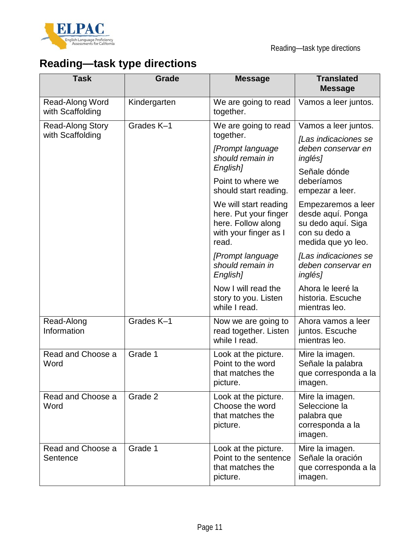

# **Reading—task type directions**

| <b>Task</b>                         | Grade        | <b>Message</b>                                                                                         | <b>Translated</b><br><b>Message</b>                                                                  |
|-------------------------------------|--------------|--------------------------------------------------------------------------------------------------------|------------------------------------------------------------------------------------------------------|
| Read-Along Word<br>with Scaffolding | Kindergarten | We are going to read<br>together.                                                                      | Vamos a leer juntos.                                                                                 |
| <b>Read-Along Story</b>             | Grades K-1   | We are going to read                                                                                   | Vamos a leer juntos.                                                                                 |
| with Scaffolding                    |              | together.<br>[Prompt language<br>should remain in<br>English <sub>1</sub>                              | [Las indicaciones se<br>deben conservar en<br><i>inglés]</i>                                         |
|                                     |              | Point to where we<br>should start reading.                                                             | Señale dónde<br>deberíamos<br>empezar a leer.                                                        |
|                                     |              | We will start reading<br>here. Put your finger<br>here. Follow along<br>with your finger as I<br>read. | Empezaremos a leer<br>desde aquí. Ponga<br>su dedo aquí. Siga<br>con su dedo a<br>medida que yo leo. |
|                                     |              | [Prompt language<br>should remain in<br>English]                                                       | [Las indicaciones se<br>deben conservar en<br><i>inglés]</i>                                         |
|                                     |              | Now I will read the<br>story to you. Listen<br>while I read.                                           | Ahora le leeré la<br>historia. Escuche<br>mientras leo.                                              |
| Read-Along<br>Information           | Grades K-1   | Now we are going to<br>read together. Listen<br>while I read.                                          | Ahora vamos a leer<br>juntos. Escuche<br>mientras leo.                                               |
| Read and Choose a<br>Word           | Grade 1      | Look at the picture.<br>Point to the word<br>that matches the<br>picture.                              | Mire la imagen.<br>Señale la palabra<br>que corresponda a la<br>imagen.                              |
| Read and Choose a<br>Word           | Grade 2      | Look at the picture.<br>Choose the word<br>that matches the<br>picture.                                | Mire la imagen.<br>Seleccione la<br>palabra que<br>corresponda a la<br>imagen.                       |
| Read and Choose a<br>Sentence       | Grade 1      | Look at the picture.<br>Point to the sentence<br>that matches the<br>picture.                          | Mire la imagen.<br>Señale la oración<br>que corresponda a la<br>imagen.                              |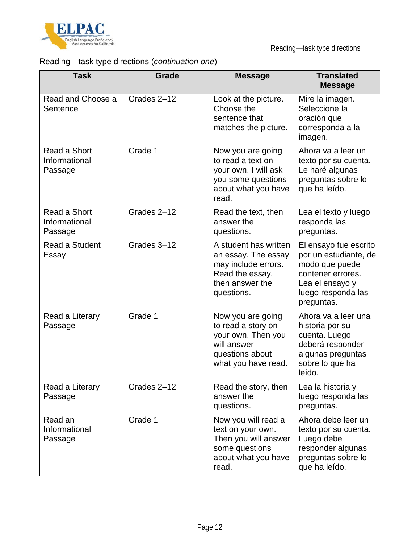

# Reading—task type directions (*continuation one*)

| <b>Task</b>                              | Grade       | <b>Message</b>                                                                                                          | <b>Translated</b><br><b>Message</b>                                                                                                          |
|------------------------------------------|-------------|-------------------------------------------------------------------------------------------------------------------------|----------------------------------------------------------------------------------------------------------------------------------------------|
| Read and Choose a<br>Sentence            | Grades 2-12 | Look at the picture.<br>Choose the<br>sentence that<br>matches the picture.                                             | Mire la imagen.<br>Seleccione la<br>oración que<br>corresponda a la<br>imagen.                                                               |
| Read a Short<br>Informational<br>Passage | Grade 1     | Now you are going<br>to read a text on<br>your own. I will ask<br>you some questions<br>about what you have<br>read.    | Ahora va a leer un<br>texto por su cuenta.<br>Le haré algunas<br>preguntas sobre lo<br>que ha leído.                                         |
| Read a Short<br>Informational<br>Passage | Grades 2-12 | Read the text, then<br>answer the<br>questions.                                                                         | Lea el texto y luego<br>responda las<br>preguntas.                                                                                           |
| Read a Student<br>Essay                  | Grades 3-12 | A student has written<br>an essay. The essay<br>may include errors.<br>Read the essay,<br>then answer the<br>questions. | El ensayo fue escrito<br>por un estudiante, de<br>modo que puede<br>contener errores.<br>Lea el ensayo y<br>luego responda las<br>preguntas. |
| Read a Literary<br>Passage               | Grade 1     | Now you are going<br>to read a story on<br>your own. Then you<br>will answer<br>questions about<br>what you have read.  | Ahora va a leer una<br>historia por su<br>cuenta. Luego<br>deberá responder<br>algunas preguntas<br>sobre lo que ha<br>leído.                |
| Read a Literary<br>Passage               | Grades 2-12 | Read the story, then<br>answer the<br>questions.                                                                        | Lea la historia y<br>luego responda las<br>preguntas.                                                                                        |
| Read an<br>Informational<br>Passage      | Grade 1     | Now you will read a<br>text on your own.<br>Then you will answer<br>some questions<br>about what you have<br>read.      | Ahora debe leer un<br>texto por su cuenta.<br>Luego debe<br>responder algunas<br>preguntas sobre lo<br>que ha leído.                         |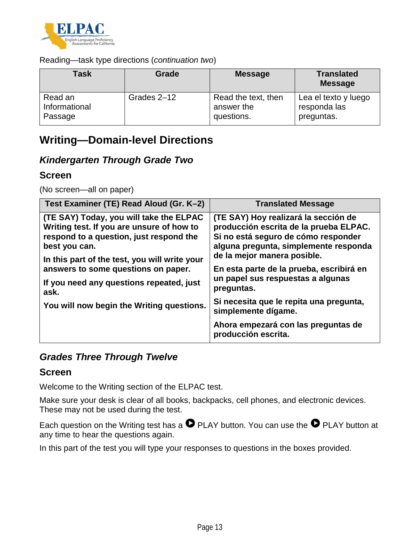

#### Reading—task type directions (*continuation two*)

| Task          | Grade       | <b>Message</b>      | <b>Translated</b><br><b>Message</b> |
|---------------|-------------|---------------------|-------------------------------------|
| Read an       | Grades 2-12 | Read the text, then | Lea el texto y luego                |
| Informational |             | answer the          | responda las                        |
| Passage       |             | questions.          | preguntas.                          |

# **Writing—Domain-level Directions**

#### *Kindergarten Through Grade Two*

#### **Screen**

(No screen—all on paper)

| Test Examiner (TE) Read Aloud (Gr. K-2)                                                                                                                                                           | <b>Translated Message</b>                                                                                                                                                                     |
|---------------------------------------------------------------------------------------------------------------------------------------------------------------------------------------------------|-----------------------------------------------------------------------------------------------------------------------------------------------------------------------------------------------|
| (TE SAY) Today, you will take the ELPAC<br>Writing test. If you are unsure of how to<br>respond to a question, just respond the<br>best you can.<br>In this part of the test, you will write your | (TE SAY) Hoy realizará la sección de<br>producción escrita de la prueba ELPAC.<br>Si no está seguro de cómo responder<br>alguna pregunta, simplemente responda<br>de la mejor manera posible. |
| answers to some questions on paper.<br>If you need any questions repeated, just<br>ask.                                                                                                           | En esta parte de la prueba, escribirá en<br>un papel sus respuestas a algunas<br>preguntas.                                                                                                   |
| You will now begin the Writing questions.                                                                                                                                                         | Si necesita que le repita una pregunta,<br>simplemente dígame.                                                                                                                                |
|                                                                                                                                                                                                   | Ahora empezará con las preguntas de<br>producción escrita.                                                                                                                                    |

#### *Grades Three Through Twelve*

#### **Screen**

Welcome to the Writing section of the ELPAC test.

Make sure your desk is clear of all books, backpacks, cell phones, and electronic devices. These may not be used during the test.

Each question on the Writing test has a  $\bullet$  PLAY button. You can use the  $\bullet$  PLAY button at any time to hear the questions again.

In this part of the test you will type your responses to questions in the boxes provided.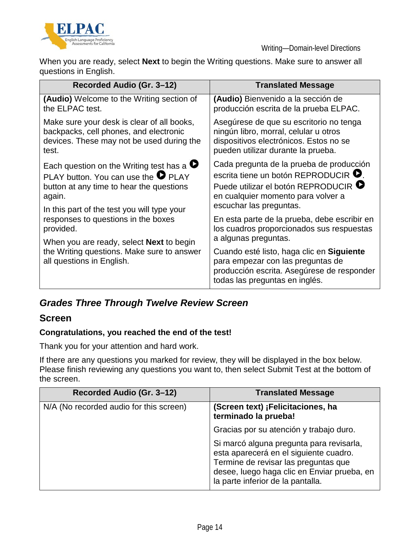

When you are ready, select **Next** to begin the Writing questions. Make sure to answer all questions in English.

| Recorded Audio (Gr. 3-12)                                                                                                                                                                                                                                                                                   | <b>Translated Message</b>                                                                                                                                                                                        |
|-------------------------------------------------------------------------------------------------------------------------------------------------------------------------------------------------------------------------------------------------------------------------------------------------------------|------------------------------------------------------------------------------------------------------------------------------------------------------------------------------------------------------------------|
| <b>(Audio)</b> Welcome to the Writing section of<br>the ELPAC test.                                                                                                                                                                                                                                         | (Audio) Bienvenido a la sección de<br>producción escrita de la prueba ELPAC.                                                                                                                                     |
| Make sure your desk is clear of all books,<br>backpacks, cell phones, and electronic<br>devices. These may not be used during the<br>test.                                                                                                                                                                  | Asegúrese de que su escritorio no tenga<br>ningún libro, morral, celular u otros<br>dispositivos electrónicos. Estos no se<br>pueden utilizar durante la prueba.                                                 |
| Each question on the Writing test has a $\bullet$<br>PLAY button. You can use the <b>O</b> PLAY<br>button at any time to hear the questions<br>again.<br>In this part of the test you will type your<br>responses to questions in the boxes<br>provided.<br>When you are ready, select <b>Next</b> to begin | Cada pregunta de la prueba de producción<br>escrita tiene un botón REPRODUCIR <sup>O</sup> .<br>Puede utilizar el botón REPRODUCIR <sup>D</sup><br>en cualquier momento para volver a<br>escuchar las preguntas. |
|                                                                                                                                                                                                                                                                                                             | En esta parte de la prueba, debe escribir en<br>los cuadros proporcionados sus respuestas<br>a algunas preguntas.                                                                                                |
| the Writing questions. Make sure to answer<br>all questions in English.                                                                                                                                                                                                                                     | Cuando esté listo, haga clic en Siguiente<br>para empezar con las preguntas de<br>producción escrita. Asegúrese de responder<br>todas las preguntas en inglés.                                                   |

### *Grades Three Through Twelve Review Screen*

#### **Screen**

#### **Congratulations, you reached the end of the test!**

Thank you for your attention and hard work.

If there are any questions you marked for review, they will be displayed in the box below. Please finish reviewing any questions you want to, then select Submit Test at the bottom of the screen.

| Recorded Audio (Gr. 3–12)               | <b>Translated Message</b>                                                                                                                                                                                      |
|-----------------------------------------|----------------------------------------------------------------------------------------------------------------------------------------------------------------------------------------------------------------|
| N/A (No recorded audio for this screen) | (Screen text) ¡Felicitaciones, ha<br>terminado la prueba!                                                                                                                                                      |
|                                         | Gracias por su atención y trabajo duro.                                                                                                                                                                        |
|                                         | Si marcó alguna pregunta para revisarla,<br>esta aparecerá en el siguiente cuadro.<br>Termine de revisar las preguntas que<br>desee, luego haga clic en Enviar prueba, en<br>la parte inferior de la pantalla. |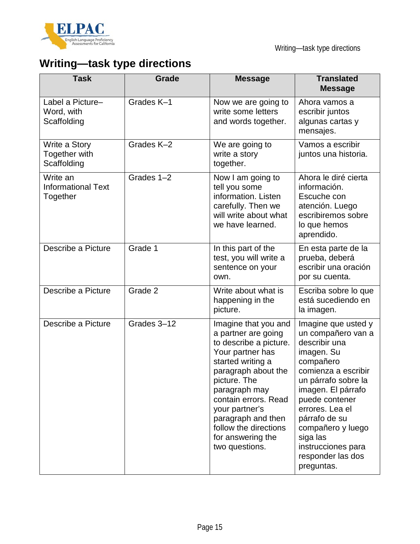

# **Writing—task type directions**

| <b>Task</b>                                          | Grade       | <b>Message</b>                                                                                                                                                                                                                                                                                         | <b>Translated</b><br><b>Message</b>                                                                                                                                                                                                                                                                       |
|------------------------------------------------------|-------------|--------------------------------------------------------------------------------------------------------------------------------------------------------------------------------------------------------------------------------------------------------------------------------------------------------|-----------------------------------------------------------------------------------------------------------------------------------------------------------------------------------------------------------------------------------------------------------------------------------------------------------|
| Label a Picture-<br>Word, with<br>Scaffolding        | Grades K-1  | Now we are going to<br>write some letters<br>and words together.                                                                                                                                                                                                                                       | Ahora vamos a<br>escribir juntos<br>algunas cartas y<br>mensajes.                                                                                                                                                                                                                                         |
| Write a Story<br><b>Together with</b><br>Scaffolding | Grades K-2  | We are going to<br>write a story<br>together.                                                                                                                                                                                                                                                          | Vamos a escribir<br>juntos una historia.                                                                                                                                                                                                                                                                  |
| Write an<br><b>Informational Text</b><br>Together    | Grades 1-2  | Now I am going to<br>tell you some<br>information. Listen<br>carefully. Then we<br>will write about what<br>we have learned.                                                                                                                                                                           | Ahora le diré cierta<br>información.<br>Escuche con<br>atención. Luego<br>escribiremos sobre<br>lo que hemos<br>aprendido.                                                                                                                                                                                |
| Describe a Picture                                   | Grade 1     | In this part of the<br>test, you will write a<br>sentence on your<br>own.                                                                                                                                                                                                                              | En esta parte de la<br>prueba, deberá<br>escribir una oración<br>por su cuenta.                                                                                                                                                                                                                           |
| Describe a Picture                                   | Grade 2     | Write about what is<br>happening in the<br>picture.                                                                                                                                                                                                                                                    | Escriba sobre lo que<br>está sucediendo en<br>la imagen.                                                                                                                                                                                                                                                  |
| Describe a Picture                                   | Grades 3-12 | Imagine that you and<br>a partner are going<br>to describe a picture.<br>Your partner has<br>started writing a<br>paragraph about the<br>picture. The<br>paragraph may<br>contain errors. Read<br>your partner's<br>paragraph and then<br>follow the directions<br>for answering the<br>two questions. | Imagine que usted y<br>un compañero van a<br>describir una<br>imagen. Su<br>compañero<br>comienza a escribir<br>un párrafo sobre la<br>imagen. El párrafo<br>puede contener<br>errores. Lea el<br>párrafo de su<br>compañero y luego<br>siga las<br>instrucciones para<br>responder las dos<br>preguntas. |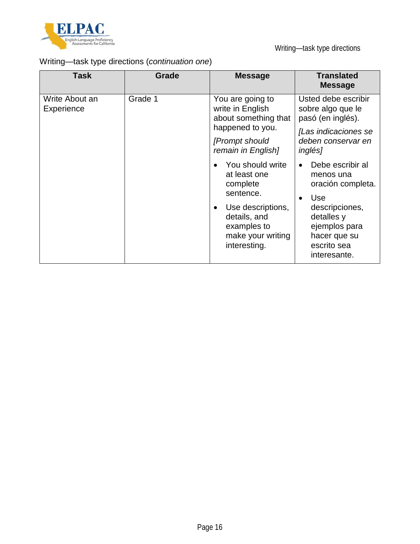

# Writing—task type directions (*continuation one*)

| <b>Task</b>                  | Grade   | <b>Message</b>                                                                                                                                     | <b>Translated</b><br><b>Message</b>                                                                                                                                           |
|------------------------------|---------|----------------------------------------------------------------------------------------------------------------------------------------------------|-------------------------------------------------------------------------------------------------------------------------------------------------------------------------------|
| Write About an<br>Experience | Grade 1 | You are going to<br>write in English<br>about something that<br>happened to you.<br>[Prompt should<br>remain in English]                           | Usted debe escribir<br>sobre algo que le<br>pasó (en inglés).<br>[Las indicaciones se<br>deben conservar en<br><i>inglés]</i>                                                 |
|                              |         | You should write<br>at least one<br>complete<br>sentence.<br>Use descriptions,<br>details, and<br>examples to<br>make your writing<br>interesting. | Debe escribir al<br>menos una<br>oración completa.<br><b>Use</b><br>$\bullet$<br>descripciones,<br>detalles y<br>ejemplos para<br>hacer que su<br>escrito sea<br>interesante. |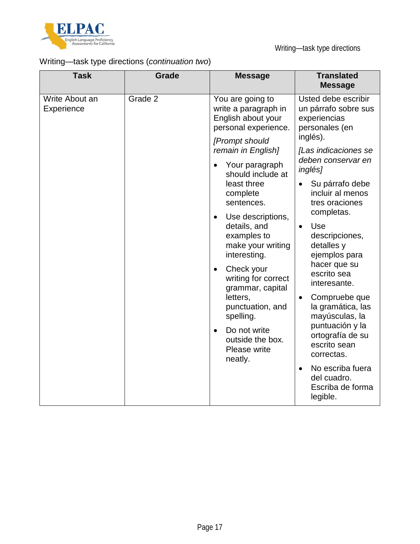

# Writing—task type directions (*continuation two*)

| <b>Task</b>                  | <b>Grade</b> | <b>Message</b>                                                                                                                                                                                                                                                                                                                                                                                                                                                                                                                   | <b>Translated</b><br><b>Message</b>                                                                                                                                                                                                                                                                                                                                                                                                                                                                                                                                             |
|------------------------------|--------------|----------------------------------------------------------------------------------------------------------------------------------------------------------------------------------------------------------------------------------------------------------------------------------------------------------------------------------------------------------------------------------------------------------------------------------------------------------------------------------------------------------------------------------|---------------------------------------------------------------------------------------------------------------------------------------------------------------------------------------------------------------------------------------------------------------------------------------------------------------------------------------------------------------------------------------------------------------------------------------------------------------------------------------------------------------------------------------------------------------------------------|
| Write About an<br>Experience | Grade 2      | You are going to<br>write a paragraph in<br>English about your<br>personal experience.<br>[Prompt should<br>remain in English]<br>Your paragraph<br>$\bullet$<br>should include at<br>least three<br>complete<br>sentences.<br>Use descriptions,<br>$\bullet$<br>details, and<br>examples to<br>make your writing<br>interesting.<br>Check your<br>$\bullet$<br>writing for correct<br>grammar, capital<br>letters,<br>punctuation, and<br>spelling.<br>Do not write<br>$\bullet$<br>outside the box.<br>Please write<br>neatly. | Usted debe escribir<br>un párrafo sobre sus<br>experiencias<br>personales (en<br>inglés).<br>[Las indicaciones se<br>deben conservar en<br><i>inglés]</i><br>Su párrafo debe<br>$\bullet$<br>incluir al menos<br>tres oraciones<br>completas.<br>Use<br>$\bullet$<br>descripciones,<br>detalles y<br>ejemplos para<br>hacer que su<br>escrito sea<br>interesante.<br>Compruebe que<br>$\bullet$<br>la gramática, las<br>mayúsculas, la<br>puntuación y la<br>ortografía de su<br>escrito sean<br>correctas.<br>No escriba fuera<br>$\bullet$<br>del cuadro.<br>Escriba de forma |
|                              |              |                                                                                                                                                                                                                                                                                                                                                                                                                                                                                                                                  | legible.                                                                                                                                                                                                                                                                                                                                                                                                                                                                                                                                                                        |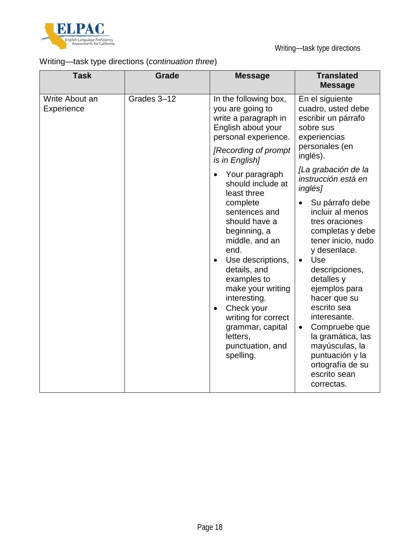

# Writing—task type directions (*continuation three*)

| <b>Task</b>                  | <b>Grade</b> | <b>Message</b>                                                                                                                                                                                                                | <b>Translated</b><br><b>Message</b>                                                                                                                                                                                                                                        |
|------------------------------|--------------|-------------------------------------------------------------------------------------------------------------------------------------------------------------------------------------------------------------------------------|----------------------------------------------------------------------------------------------------------------------------------------------------------------------------------------------------------------------------------------------------------------------------|
| Write About an<br>Experience | Grades 3-12  | In the following box,<br>you are going to<br>write a paragraph in<br>English about your<br>personal experience.<br>[Recording of prompt<br>is in English]                                                                     | En el siguiente<br>cuadro, usted debe<br>escribir un párrafo<br>sobre sus<br>experiencias<br>personales (en<br>inglés).                                                                                                                                                    |
|                              |              | Your paragraph<br>should include at<br>least three<br>complete<br>sentences and<br>should have a<br>beginning, a<br>middle, and an                                                                                            | [La grabación de la<br>instrucción está en<br>inglés]<br>Su párrafo debe<br>incluir al menos<br>tres oraciones<br>completas y debe<br>tener inicio, nudo                                                                                                                   |
|                              |              | end.<br>Use descriptions,<br>$\bullet$<br>details, and<br>examples to<br>make your writing<br>interesting.<br>Check your<br>$\bullet$<br>writing for correct<br>grammar, capital<br>letters,<br>punctuation, and<br>spelling. | y desenlace.<br>Use<br>$\bullet$<br>descripciones,<br>detalles y<br>ejemplos para<br>hacer que su<br>escrito sea<br>interesante.<br>Compruebe que<br>$\bullet$<br>la gramática, las<br>mayúsculas, la<br>puntuación y la<br>ortografía de su<br>escrito sean<br>correctas. |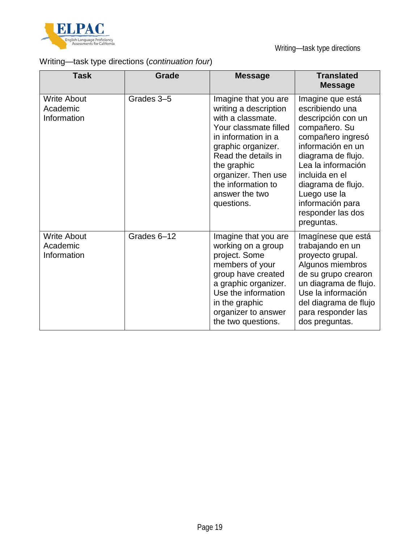

# Writing—task type directions (*continuation four*)

| <b>Task</b>                                   | <b>Grade</b> | <b>Message</b>                                                                                                                                                                                                                                              | <b>Translated</b><br><b>Message</b>                                                                                                                                                                                                                                             |
|-----------------------------------------------|--------------|-------------------------------------------------------------------------------------------------------------------------------------------------------------------------------------------------------------------------------------------------------------|---------------------------------------------------------------------------------------------------------------------------------------------------------------------------------------------------------------------------------------------------------------------------------|
| <b>Write About</b><br>Academic<br>Information | Grades 3-5   | Imagine that you are<br>writing a description<br>with a classmate.<br>Your classmate filled<br>in information in a<br>graphic organizer.<br>Read the details in<br>the graphic<br>organizer. Then use<br>the information to<br>answer the two<br>questions. | Imagine que está<br>escribiendo una<br>descripción con un<br>compañero. Su<br>compañero ingresó<br>información en un<br>diagrama de flujo.<br>Lea la información<br>incluida en el<br>diagrama de flujo.<br>Luego use la<br>información para<br>responder las dos<br>preguntas. |
| <b>Write About</b><br>Academic<br>Information | Grades 6-12  | Imagine that you are<br>working on a group<br>project. Some<br>members of your<br>group have created<br>a graphic organizer.<br>Use the information<br>in the graphic<br>organizer to answer<br>the two questions.                                          | Imagínese que está<br>trabajando en un<br>proyecto grupal.<br>Algunos miembros<br>de su grupo crearon<br>un diagrama de flujo.<br>Use la información<br>del diagrama de flujo<br>para responder las<br>dos preguntas.                                                           |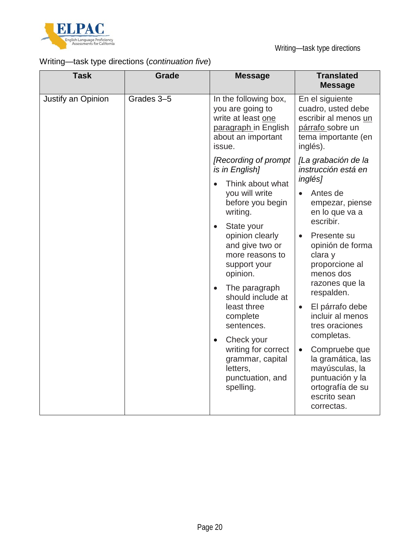

# Writing—task type directions (*continuation five*)

| <b>Task</b>        | Grade      | <b>Message</b>                                                                                                          | <b>Translated</b><br><b>Message</b>                                                                                                    |
|--------------------|------------|-------------------------------------------------------------------------------------------------------------------------|----------------------------------------------------------------------------------------------------------------------------------------|
| Justify an Opinion | Grades 3-5 | In the following box,<br>you are going to<br>write at least one<br>paragraph in English<br>about an important<br>issue. | En el siguiente<br>cuadro, usted debe<br>escribir al menos un<br>párrafo sobre un<br>tema importante (en<br>inglés).                   |
|                    |            | [Recording of prompt<br>is in English]<br>Think about what<br>$\bullet$                                                 | [La grabación de la<br>instrucción está en<br><i>inglés]</i>                                                                           |
|                    |            | you will write<br>before you begin<br>writing.                                                                          | Antes de<br>$\bullet$<br>empezar, piense<br>en lo que va a<br>escribir.                                                                |
|                    |            | State your<br>$\bullet$<br>opinion clearly<br>and give two or<br>more reasons to<br>support your<br>opinion.            | Presente su<br>$\bullet$<br>opinión de forma<br>clara y<br>proporcione al<br>menos dos                                                 |
|                    |            | The paragraph<br>$\bullet$<br>should include at<br>least three<br>complete<br>sentences.                                | razones que la<br>respalden.                                                                                                           |
|                    |            |                                                                                                                         | El párrafo debe<br>$\bullet$<br>incluir al menos<br>tres oraciones<br>completas.                                                       |
|                    |            | Check your<br>$\bullet$<br>writing for correct<br>grammar, capital<br>letters,<br>punctuation, and<br>spelling.         | Compruebe que<br>$\bullet$<br>la gramática, las<br>mayúsculas, la<br>puntuación y la<br>ortografía de su<br>escrito sean<br>correctas. |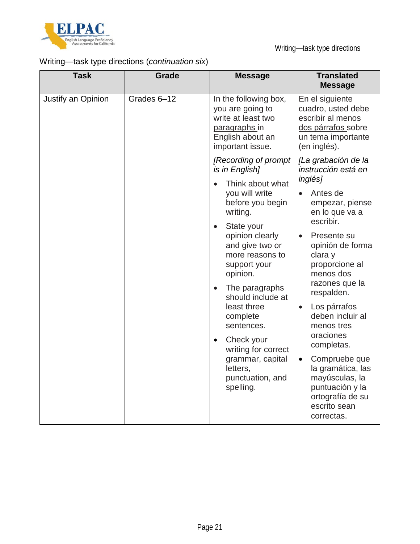

# Writing—task type directions (*continuation six*)

| <b>Task</b>        | <b>Grade</b> | <b>Message</b>                                                                                                           | <b>Translated</b><br><b>Message</b>                                                                                                                  |
|--------------------|--------------|--------------------------------------------------------------------------------------------------------------------------|------------------------------------------------------------------------------------------------------------------------------------------------------|
| Justify an Opinion | Grades 6-12  | In the following box,<br>you are going to<br>write at least two<br>paragraphs in<br>English about an<br>important issue. | En el siguiente<br>cuadro, usted debe<br>escribir al menos<br>dos párrafos sobre<br>un tema importante<br>(en inglés).                               |
|                    |              | [Recording of prompt<br>is in English]                                                                                   | [La grabación de la<br>instrucción está en                                                                                                           |
|                    |              | Think about what<br>you will write<br>before you begin<br>writing.<br>State your<br>opinion clearly<br>and give two or   | <i>inglés]</i><br>Antes de<br>empezar, piense<br>en lo que va a<br>escribir.<br>Presente su<br>$\bullet$<br>opinión de forma                         |
|                    |              | more reasons to<br>support your<br>opinion.<br>The paragraphs                                                            | clara y<br>proporcione al<br>menos dos<br>razones que la                                                                                             |
|                    |              | should include at<br>least three<br>complete<br>sentences.                                                               | respalden.<br>Los párrafos<br>$\bullet$<br>deben incluir al<br>menos tres<br>oraciones                                                               |
|                    |              | Check your<br>$\bullet$<br>writing for correct<br>grammar, capital<br>letters,<br>punctuation, and<br>spelling.          | completas.<br>Compruebe que<br>$\bullet$<br>la gramática, las<br>mayúsculas, la<br>puntuación y la<br>ortografía de su<br>escrito sean<br>correctas. |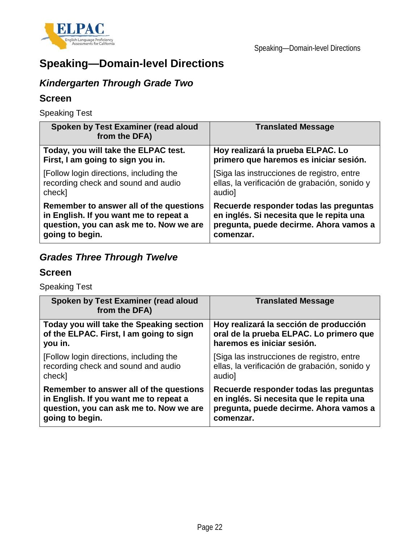

# **Speaking—Domain-level Directions**

# *Kindergarten Through Grade Two*

#### **Screen**

Speaking Test

| Spoken by Test Examiner (read aloud<br>from the DFA) | <b>Translated Message</b>                     |
|------------------------------------------------------|-----------------------------------------------|
| Today, you will take the ELPAC test.                 | Hoy realizará la prueba ELPAC. Lo             |
| First, I am going to sign you in.                    | primero que haremos es iniciar sesión.        |
| [Follow login directions, including the              | [Siga las instrucciones de registro, entre    |
| recording check and sound and audio                  | ellas, la verificación de grabación, sonido y |
| check]                                               | audio]                                        |
| Remember to answer all of the questions              | Recuerde responder todas las preguntas        |
| in English. If you want me to repeat a               | en inglés. Si necesita que le repita una      |
| question, you can ask me to. Now we are              | pregunta, puede decirme. Ahora vamos a        |
| going to begin.                                      | comenzar.                                     |

# *Grades Three Through Twelve*

#### **Screen**

Speaking Test

| Spoken by Test Examiner (read aloud<br>from the DFA) | <b>Translated Message</b>                     |
|------------------------------------------------------|-----------------------------------------------|
| Today you will take the Speaking section             | Hoy realizará la sección de producción        |
| of the ELPAC. First, I am going to sign              | oral de la prueba ELPAC. Lo primero que       |
| you in.                                              | haremos es iniciar sesión.                    |
| [Follow login directions, including the              | [Siga las instrucciones de registro, entre    |
| recording check and sound and audio                  | ellas, la verificación de grabación, sonido y |
| check]                                               | audio]                                        |
| Remember to answer all of the questions              | Recuerde responder todas las preguntas        |
| in English. If you want me to repeat a               | en inglés. Si necesita que le repita una      |
| question, you can ask me to. Now we are              | pregunta, puede decirme. Ahora vamos a        |
| going to begin.                                      | comenzar.                                     |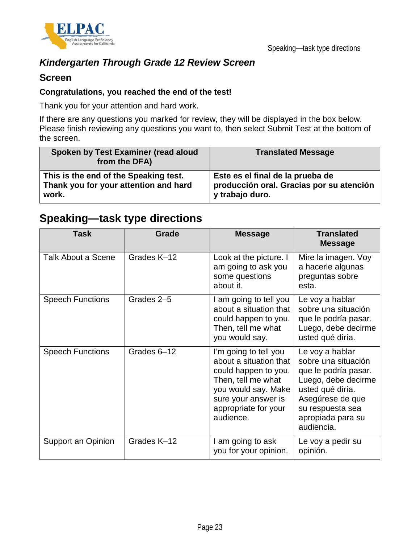

## *Kindergarten Through Grade 12 Review Screen*

#### **Screen**

#### **Congratulations, you reached the end of the test!**

Thank you for your attention and hard work.

If there are any questions you marked for review, they will be displayed in the box below. Please finish reviewing any questions you want to, then select Submit Test at the bottom of the screen.

| Spoken by Test Examiner (read aloud<br>from the DFA) | <b>Translated Message</b>                |
|------------------------------------------------------|------------------------------------------|
| This is the end of the Speaking test.                | Este es el final de la prueba de         |
| Thank you for your attention and hard                | producción oral. Gracias por su atención |
| work.                                                | y trabajo duro.                          |

# **Speaking—task type directions**

| <b>Task</b>             | Grade       | <b>Message</b>                                                                                                                                                                   | <b>Translated</b><br><b>Message</b>                                                                                                                                                  |
|-------------------------|-------------|----------------------------------------------------------------------------------------------------------------------------------------------------------------------------------|--------------------------------------------------------------------------------------------------------------------------------------------------------------------------------------|
| Talk About a Scene      | Grades K-12 | Look at the picture. I<br>am going to ask you<br>some questions<br>about it.                                                                                                     | Mire la imagen. Voy<br>a hacerle algunas<br>preguntas sobre<br>esta.                                                                                                                 |
| <b>Speech Functions</b> | Grades 2-5  | I am going to tell you<br>about a situation that<br>could happen to you.<br>Then, tell me what<br>you would say.                                                                 | Le voy a hablar<br>sobre una situación<br>que le podría pasar.<br>Luego, debe decirme<br>usted qué diría.                                                                            |
| <b>Speech Functions</b> | Grades 6-12 | I'm going to tell you<br>about a situation that<br>could happen to you.<br>Then, tell me what<br>you would say. Make<br>sure your answer is<br>appropriate for your<br>audience. | Le voy a hablar<br>sobre una situación<br>que le podría pasar.<br>Luego, debe decirme<br>usted qué diría.<br>Asegúrese de que<br>su respuesta sea<br>apropiada para su<br>audiencia. |
| Support an Opinion      | Grades K-12 | I am going to ask<br>you for your opinion.                                                                                                                                       | Le voy a pedir su<br>opinión.                                                                                                                                                        |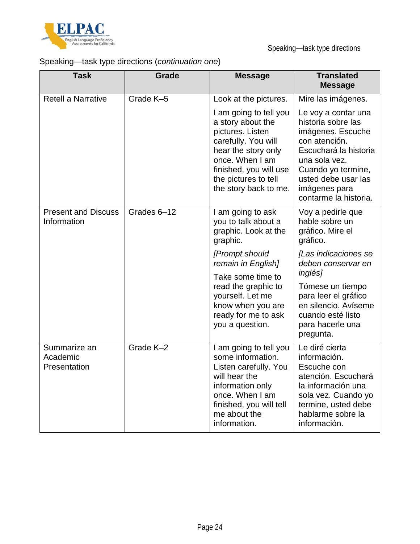

# Speaking—task type directions (*continuation one*)

| <b>Task</b>                               | <b>Grade</b> | <b>Message</b>                                                                                                                                                                                              | <b>Translated</b><br><b>Message</b>                                                                                                                                                                              |
|-------------------------------------------|--------------|-------------------------------------------------------------------------------------------------------------------------------------------------------------------------------------------------------------|------------------------------------------------------------------------------------------------------------------------------------------------------------------------------------------------------------------|
| <b>Retell a Narrative</b>                 | Grade K-5    | Look at the pictures.                                                                                                                                                                                       | Mire las imágenes.                                                                                                                                                                                               |
|                                           |              | I am going to tell you<br>a story about the<br>pictures. Listen<br>carefully. You will<br>hear the story only<br>once. When I am<br>finished, you will use<br>the pictures to tell<br>the story back to me. | Le voy a contar una<br>historia sobre las<br>imágenes. Escuche<br>con atención.<br>Escuchará la historia<br>una sola vez.<br>Cuando yo termine,<br>usted debe usar las<br>imágenes para<br>contarme la historia. |
| <b>Present and Discuss</b><br>Information | Grades 6-12  | I am going to ask<br>you to talk about a<br>graphic. Look at the<br>graphic.                                                                                                                                | Voy a pedirle que<br>hable sobre un<br>gráfico. Mire el<br>gráfico.                                                                                                                                              |
|                                           |              | [Prompt should<br>remain in English]                                                                                                                                                                        | [Las indicaciones se<br>deben conservar en<br>inglés]                                                                                                                                                            |
|                                           |              | Take some time to<br>read the graphic to<br>yourself. Let me<br>know when you are<br>ready for me to ask<br>you a question.                                                                                 | Tómese un tiempo<br>para leer el gráfico<br>en silencio. Avíseme<br>cuando esté listo<br>para hacerle una<br>pregunta.                                                                                           |
| Summarize an<br>Academic<br>Presentation  | Grade K-2    | I am going to tell you<br>some information.<br>Listen carefully. You<br>will hear the<br>information only<br>once. When I am<br>finished, you will tell<br>me about the<br>information.                     | Le diré cierta<br>información.<br>Escuche con<br>atención. Escuchará<br>la información una<br>sola vez. Cuando yo<br>termine, usted debe<br>hablarme sobre la<br>información.                                    |